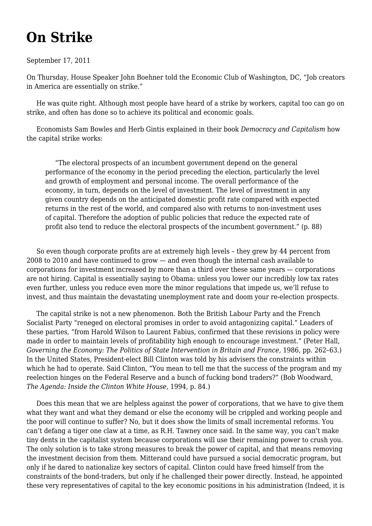## **[On Strike](https://newpol.org/strike/)**

## September 17, 2011

On Thursday, House Speaker John Boehner [told the Economic Club](http://www.speaker.gov/News/DocumentSingle.aspx?DocumentID=260229) of Washington, DC, "Job creators in America are essentially on strike."

 He was quite right. Although most people have heard of a strike by workers, capital too can go on strike, and often has done so to achieve its political and economic goals.

 Economists Sam Bowles and Herb Gintis explained in their book *Democracy and Capitalism* how the capital strike works:

 "The electoral prospects of an incumbent government depend on the general performance of the economy in the period preceding the election, particularly the level and growth of employment and personal income. The overall performance of the economy, in turn, depends on the level of investment. The level of investment in any given country depends on the anticipated domestic profit rate compared with expected returns in the rest of the world, and compared also with returns to non-investment uses of capital. Therefore the adoption of public policies that reduce the expected rate of profit also tend to reduce the electoral prospects of the incumbent government." (p. 88)

 So even though corporate profits are at extremely high levels – they [grew by 44 percent](http://www.bea.gov/newsreleases/national/gdp/2011/txt/gdp2q11_2nd.txt) from 2008 to 2010 and have continued to grow — and even though the internal cash available to corporations for investment [increased by more than a third](http://www.bea.gov/newsreleases/national/gdp/2011/txt/gdp2q11_2nd.txt) over these same years — corporations are not hiring. Capital is essentially saying to Obama: unless you lower our incredibly low tax rates even further, unless you reduce even more the minor regulations that impede us, we'll refuse to invest, and thus maintain the devastating unemployment rate and doom your re-election prospects.

 The capital strike is not a new phenomenon. Both the British Labour Party and the French Socialist Party "reneged on electoral promises in order to avoid antagonizing capital." Leaders of these parties, "from Harold Wilson to Laurent Fabius, confirmed that these revisions in policy were made in order to maintain levels of profitability high enough to encourage investment." (Peter Hall, *Governing the Economy: The Politics of State Intervention in Britain and France, 1986, pp. 262-63.)* In the United States, President-elect Bill Clinton was told by his advisers the constraints within which he had to operate. Said Clinton, "You mean to tell me that the success of the program and my reelection hinges on the Federal Reserve and a bunch of fucking bond traders?" (Bob Woodward, *The Agenda: Inside the Clinton White House,* 1994, p. 84.)

 Does this mean that we are helpless against the power of corporations, that we have to give them what they want and what they demand or else the economy will be crippled and working people and the poor will continue to suffer? No, but it does show the limits of small incremental reforms. You can't defang a tiger one claw at a time, as R.H. Tawney once said. In the same way, you can't make tiny dents in the capitalist system because corporations will use their remaining power to crush you. The only solution is to take strong measures to break the power of capital, and that means removing the investment decision from them. Mitterand could have pursued a social democratic program, but only if he dared to nationalize key sectors of capital. Clinton could have freed himself from the constraints of the bond-traders, but only if he challenged their power directly. Instead, he appointed these very representatives of capital to the key economic positions in his administration (Indeed, it is